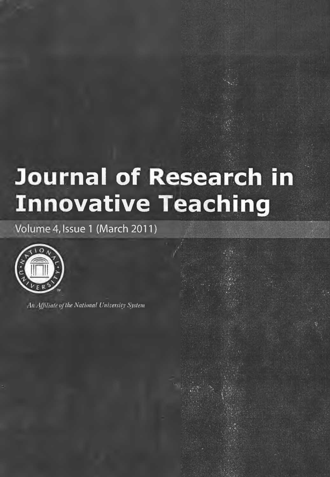# Journal of Research in **Innovative Teaching**

Volume 4, Issue 1 (March 2011)



An Miliate of the National University System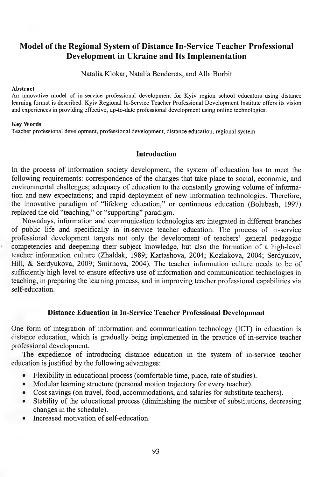## **Model of the Regional System of Distance In-Service Teacher Professional Development in Ukraine and Its Implementation**

Natalia Klokar, Natalia Benderets, and Alla Borbit

#### **Abstract**

An innovative model of in-service professional development for Kyiv region school educators using distance learning format is described. Kyiv Regional In-Service Teacher Professional Development Institute offers its vision and experiences in providing effective, up-to-date professional development using online technologies.

### **Key Words**

Teacher professional development, professional development, distance education, regional system

## **Introduction**

In the process of information society development, the system of education has to meet the following requirements: correspondence of the changes that take place to social, economic, and environmental challenges; adequacy of education to the constantly growing volume of information and new expectations; and rapid deployment of new information technologies. Therefore, the innovative paradigm of "lifelong education," or continuous education (Bolubash, 1997) replaced the old "teaching," or "supporting" paradigm.

Nowadays, information and communication technologies are integrated in different branches of public life and specifically in in-service teacher education. The process of in-service professional development targets not only the development of teachers' general pedagogic competencies and deepening their subject knowledge, but also the formation of a high-level teacher information culture (Zhaldak, 1989; Kartashova, 2004; Kozlakova, 2004; Serdyukov, Hill, & Serdyukova, 2009; Smirnova, 2004). The teacher information culture needs to be of sufficiently high level to ensure effective use of information and communication technologies in teaching, in preparing the learning process, and in improving teacher professional capabilities via self-education.

## **Distance Education in In-Service Teacher Professional Development**

One form of integration of information and communication technology (ICT) in education is distance education, which is gradually being implemented in the practice of in-service teacher professional development.

The expedience of introducing distance education in the system of in-service teacher education is justified by the following advantages:

- Flexibility in educational process (comfortable time, place, rate of studies).
- Modular learning structure (personal motion trajectory for every teacher).
- Cost savings (on travel, food, accommodations, and salaries for substitute teachers).
- Stability of the educational process (diminishing the number of substitutions, decreasing changes in the schedule).
- Increased motivation of self-education.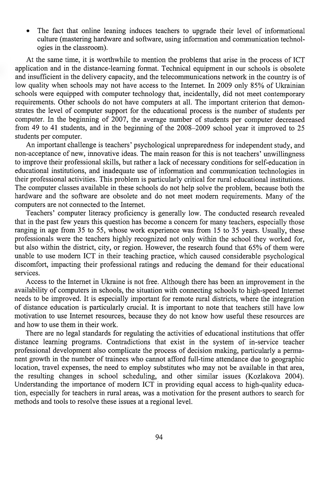The fact that online leaning induces teachers to upgrade their level of informational culture (mastering hardware and software, using information and communication technologies in the classroom).

At the same time, it is worthwhile to mention the problems that arise in the process of ICT application and in the distance-learning format. Technical equipment in our schools is obsolete and insufficient in the delivery capacity, and the telecommunications network in the country is of low quality when schools may not have access to the Internet. In 2009 only 85% of Ukrainian schools were equipped with computer technology that, incidentally, did not meet contemporary requirements. Other schools do not have computers at all. The important criterion that demonstrates the level of computer support for the educational process is the number of students per computer. In the beginning of 2007, the average number of students per computer decreased from 49 to 41 students, and in the beginning of the 2008-2009 school year it improved to 25 students per computer.

An important challenge is teachers' psychological unpreparedness for independent study, and non-acceptance of new, innovative ideas. The main reason for this is not teachers' unwillingness to improve their professional skills, but rather a lack of necessary conditions for self-education in educational institutions, and inadequate use of information and communication technologies in their professional activities. This problem is particularly critical for rural educational institutions. The computer classes available in these schools do not help solve the problem, because both the hardware and the software are obsolete and do not meet modem requirements. Many of the computers are not connected to the Internet.

Teachers' computer literacy proficiency is generally low. The conducted research revealed that in the past few years this question has become a concern for many teachers, especially those ranging in age from 35 to 55, whose work experience was from 15 to 35 years. Usually, these professionals were the teachers highly recognized not only within the school they worked for, but also within the district, city, or region. However, the research found that 65% of them were unable to use modem ICT in their teaching practice, which caused considerable psychological discomfort, impacting their professional ratings and reducing the demand for their educational services.

Access to the Internet in Ukraine is not free. Although there has been an improvement in the availability of computers in schools, the situation with connecting schools to high-speed Internet needs to be improved. It is especially important for remote mral districts, where the integration of distance education is particularly crucial. It is important to note that teachers still have low motivation to use Internet resources, because they do not know how useful these resources are and how to use them in their work.

There are no legal standards for regulating the activities of educational institutions that offer distance learning programs. Contradictions that exist in the system of in-service teacher professional development also complicate the process of decision making, particularly a permanent growth in the number of trainees who cannot afford full-time attendance due to geographic location, travel expenses, the need to employ substitutes who may not be available in that area, the resulting changes in school scheduling, and other similar issues (Kozlakova 2004). Understanding the importance of modem ICT in providing equal access to high-quality education, especially for teachers in mral areas, was a motivation for the present authors to search for methods and tools to resolve these issues at a regional level.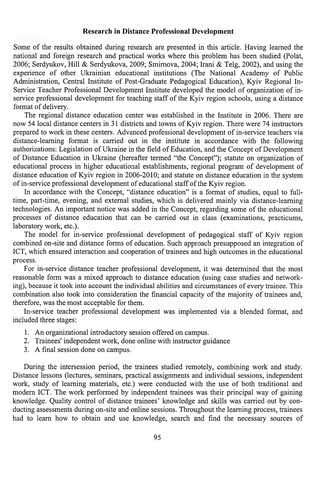### **Research in Distance Professional Development**

Some of the results obtained during research are presented in this article. Having learned the national and foreign research and practical works where this problem has been studied (Polat, 2006; Serdyukov, Hill & Serdyukova, 2009; Smirnova, 2004; Irani & Telg, 2002), and using the experience of other Ukrainian educational institutions (The National Academy of Public Administration, Central Institute of Post-Graduate Pedagogical Education), Kyiv Regional In-Service Teacher Professional Development Institute developed the model of organization of inservice professional development for teaching staff of the  $\overline{K}$ yiv region schools, using a distance format of delivery.

The regional distance education center was established in the Institute in 2006. There are now 54 local distance centers in 31 districts and towns of Kyiv region. There were 74 instructors prepared to work in these centers. Advanced professional development of in-service teachers via distance-learning format is carried out in the institute in accordance with the following authorizations: Legislation of Ukraine in the field of Education, and the Concept of Development of Distance Education in Ukraine (hereafter termed "the Concept"); statute on organization of educational process in higher educational establishments, regional program of development of distance education of Kyiv region in 2006-2010; and statute on distance education in the system of in-service professional development of educational staff of the Kyiv region.

In accordance with the Concept, "distance education" is a format of studies, equal to fulltime, part-time, evening, and external studies, which is delivered mainly via distance-learning technologies. An important notice was added in the Concept, regarding some of the educational processes of distance education that can be carried out in class (examinations, practicums, laboratory work, etc.).

The model for in-service professional development of pedagogical staff of Kyiv region combined on-site and distance forms of education. Such approach presupposed an integration of ICT, which ensured interaction and cooperation of trainees and high outcomes in the educational process.

For in-service distance teacher professional development, it was detennined that the most reasonable form was a mixed approach to distance education (using case studies and networking), because it took into account the individual abilities and circumstances of every trainee. This combination also took into consideration the financial capacity of the majority of trainees and, therefore, was the most acceptable for them.

In-service teacher professional development was implemented via a blended format, and included three stages:

- 1. An organizational introductory session offered on campus.
- 2. Trainees' independent work, done online with instructor guidance
- 3. A final session done on campus.

During the intersession period, the trainees studied remotely, combining work and study. Distance lessons (lectures, seminars, practical assignments and individual sessions, independent work, study of learning materials, etc.) were conducted with the use of both traditional and modem ICT. The work performed by independent trainees was their principal way of gaining knowledge. Quality control of distance trainees' knowledge and skills was carried out by conducting assessments during on-site and online sessions. Throughout the learning process, trainees had to leam how to obtain and use knowledge, search and find the necessary sources of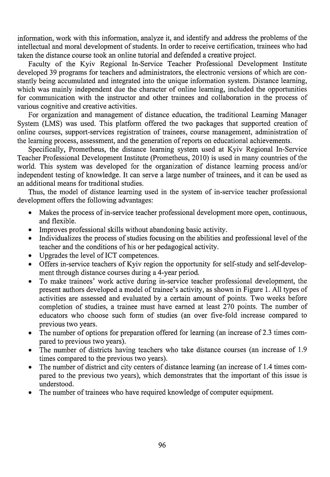information, work with this information, analyze it, and identify and address the problems of the intellectual and moral development of students. In order to receive certification, trainees who had taken the distance course took an online tutorial and defended a creative project.

Faculty of the Kyiv Regional In-Service Teacher Professional Development Institute developed 39 programs for teachers and administrators, the electronic versions of which are constantly being accumulated and integrated into the unique information system. Distance learning, which was mainly independent due the character of online learning, included the opportunities for communication with the instructor and other trainees and collaboration in the process of various cognitive and creative activities.

For organization and management of distance education, the traditional Learning Manager System (LMS) was used. This platform offered the two packages that supported creation of online courses, support-services registration of trainees, course management, administration of the learning process, assessment, and the generation of reports on educational achievements.

Specifically, Prometheus, the distance learning system used at Kyiv Regional In-Service Teacher Professional Development Institute (Prometheus, 2010) is used in many countries of the world. This system was developed for the organization of distance learning process and/or independent testing of knowledge. It can serve a large number of trainees, and it can be used as an additional means for traditional studies.

Thus, the model of distance learning used in the system of in-service teacher professional development offers the following advantages:

- Makes the process of in-service teacher professional development more open, continuous, and flexible.
- Improves professional skills without abandoning basic activity.
- Individualizes the process of studies focusing on the abilities and professional level of the teacher and the conditions of his or her pedagogical activity.
- Upgrades the level of ICT competences.
- Offers in-service teachers of Kyiv region the opportunity for self-study and self-development through distance courses during a 4-year period.
- To make trainees' work active during in-service teacher professional development, the present authors developed a model of trainee's activity, as shown in Figure 1. All types of activities are assessed and evaluated by a certain amount of points. Two weeks before completion of studies, a trainee must have earned at least 270 points. The number of educators who choose such form of studies (an over five-fold increase compared to previous two years.
- The number of options for preparation offered for learning (an increase of 2.3 times compared to previous two years).
- The number of districts having teachers who take distance courses (an increase of 1.9) times compared to the previous two years).
- The number of district and city centers of distance learning (an increase of 1.4 times compared to the previous two years), which demonstrates that the important of this issue is understood.
- The number of trainees who have required knowledge of computer equipment.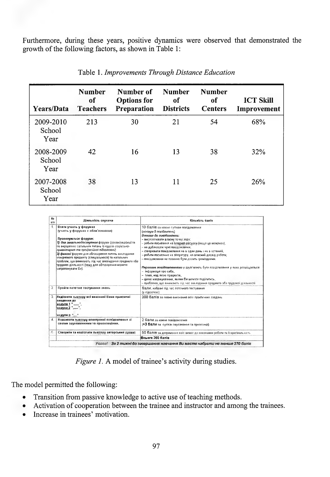Furthermore, during these years, positive dynamics were observed that demonstrated the growth of the following factors, as shown in Table 1:

| Years/Data                  | <b>Number</b><br>of<br><b>Teachers</b> | Number of<br><b>Options</b> for<br>Preparation | <b>Number</b><br>of<br><b>Districts</b> | <b>Number</b><br>of<br><b>Centers</b> | <b>ICT Skill</b><br>Improvement |
|-----------------------------|----------------------------------------|------------------------------------------------|-----------------------------------------|---------------------------------------|---------------------------------|
| 2009-2010<br>School<br>Year | 213                                    | 30                                             | 21                                      | 54                                    | 68%                             |
| 2008-2009<br>School<br>Year | 42                                     | 16                                             | 13                                      | 38                                    | 32%                             |
| 2007-2008<br>School<br>Year | 38                                     | 13                                             | 11                                      | 25                                    | 26%                             |

| Ne<br>a/n       | Діяльність слухача                                                                                                                                                                                                                                                                                                                                                                                                                                                                         | Кількість бапів                                                                                                                                                                                                                                                                                                                                                                                                                                                                                                                                                                                                                                                                                   |
|-----------------|--------------------------------------------------------------------------------------------------------------------------------------------------------------------------------------------------------------------------------------------------------------------------------------------------------------------------------------------------------------------------------------------------------------------------------------------------------------------------------------------|---------------------------------------------------------------------------------------------------------------------------------------------------------------------------------------------------------------------------------------------------------------------------------------------------------------------------------------------------------------------------------------------------------------------------------------------------------------------------------------------------------------------------------------------------------------------------------------------------------------------------------------------------------------------------------------------------|
| $\mathbf{1}$    | Взяти участь у форунах<br>(участь у форумах с обов'язковою).<br>Проненуються форуми;<br>1) два звевльнодоступних форуын (організаційний та<br>по видішенню загальних питань із курсів соціально-<br>вуманітарної та професійної підготовки<br>2) фихові форуми для обгосовення питань виклодання<br>конкратного предмету (спеціальності) та нагальних<br>проблем, що виникають під час викладання предмета або<br>трудової ділльності (тему для обговорення можете<br>}s апропонувати Еи). | 10 балів за кожне суттєве повідомлення<br>(мінімум 5 повідомпень)<br>Вимоги до повідомлень:<br>- висловлювати власну точку зору;<br>- робити посилания на інтермет ресурси (якщо це можливо),<br>- не дублювати чужі повідомлення,<br>- створювати повідомлення не в один день і не в останній.<br>– рабити посилання на літературу, на власний досвід работи;<br>– повідомлення не повинно буги дорить громіздючим.<br>Першили повідомпеннями у групі мають бути повідомлення у яких розміщається:<br>– інформація про себе.<br>- тема, над якою працюєте,<br>- цікаві напрацювання, якими Ем можете поділитись,<br>– проблеми, що виникають під час викладання предмета або трудової діявьності |
| 2               | Пройти поточне тестувания знань                                                                                                                                                                                                                                                                                                                                                                                                                                                            | бали, набрані під час лоточного тестування<br>(v cincorrax)                                                                                                                                                                                                                                                                                                                                                                                                                                                                                                                                                                                                                                       |
| D.              | (Надіслати тыотору всі виконані Вами практичні<br>ов иннававе<br>MORVAR 1 " ".<br>імалтан 2 <sup>п</sup> інні <sup>н</sup> і<br>HUAVIH B ""                                                                                                                                                                                                                                                                                                                                                | 200 балів за повне виконання всіх практичних завдань                                                                                                                                                                                                                                                                                                                                                                                                                                                                                                                                                                                                                                              |
| 4.              | Надсилати тьютору олектронні повідомлення зі<br>своїми зауваженнями та пропозиціями.                                                                                                                                                                                                                                                                                                                                                                                                       | 2 бали за кожне повідомлення<br>(+3 бали за суттся зауважения та пропозицій                                                                                                                                                                                                                                                                                                                                                                                                                                                                                                                                                                                                                       |
| $\mathcal{E}_i$ | Створити та надіслати тьютору авторський проект                                                                                                                                                                                                                                                                                                                                                                                                                                            | 50 балів за дотримання всіх вимог да виконання роботи та й оригінального                                                                                                                                                                                                                                                                                                                                                                                                                                                                                                                                                                                                                          |
|                 |                                                                                                                                                                                                                                                                                                                                                                                                                                                                                            | Besore 360 Ganis                                                                                                                                                                                                                                                                                                                                                                                                                                                                                                                                                                                                                                                                                  |
|                 |                                                                                                                                                                                                                                                                                                                                                                                                                                                                                            | Усага! За 2 тижні до завершання навчання Ви масте набрати не менше 270 балів                                                                                                                                                                                                                                                                                                                                                                                                                                                                                                                                                                                                                      |

Figure 1. A model of trainee's activity during studies.

The model permitted the following:

- Transition from passive knowledge to active use of teaching methods.  $\bullet$
- Activation of cooperation between the trainee and instructor and among the trainees.
- Increase in trainees' motivation.  $\bullet$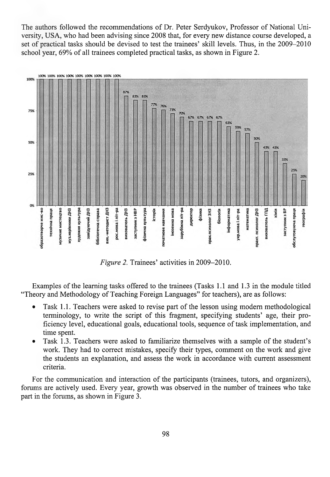The authors followed the recommendations of Dr. Peter Serdyukov, Professor of National University, USA, who had been advising since 2008 that, for every new distance course developed, a set of practical tasks should be devised to test the trainees' skill levels. Thus, in the 2009-2010 school year, 69% of all trainees completed practical tasks, as shown in Figure 2.



*Figure 2.* Trainees' activities in 2009-2010.

Examples of the learning tasks offered to the trainees (Tasks 1.1 and 1.3 in the module titled "Theory and Methodology of Teaching Foreign Languages" for teachers), are as follows:

- Task 1.1. Teachers were asked to revise part of the lesson using modern methodological terminology, to write the script of this fragment, specifying students' age, their proficiency level, educational goals, educational tools, sequence of task implementation, and time spent.
- Task 1.3. Teachers were asked to familiarize themselves with a sample of the student's work. They had to correct mistakes, specify their types, comment on the work and give the students an explanation, and assess the work in accordance with current assessment criteria.

For the communication and interaction of the participants (trainees, tutors, and organizers), fomms are actively used. Every year, growth was observed in the number of trainees who take part in the fomms, as shown in Figure 3.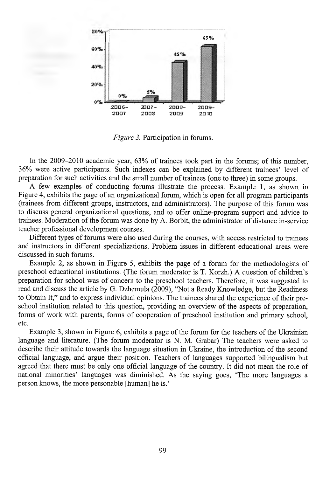

*Figure 3.* Participation in forums.

In the 2009-2010 academic year, 63% of trainees took part in the forums; of this number, 36% were active participants. Such indexes can be explained by different trainees' level of preparation for such activities and the small number of trainees (one to three) in some groups.

A few examples of conducting forums illustrate the process. Example 1, as shown in Figure 4, exhibits the page of an organizational forum, which is open for all program participants (trainees from different groups, instructors, and administrators). The purpose of this forum was to discuss general organizational questions, and to offer online-program support and advice to trainees. Moderation of the forum was done by A. Borbit, the administrator of distance in-service teacher professional development courses.

Different types of forums were also used during the courses, with access restricted to trainees and instructors in different specializations. Problem issues in different educational areas were discussed in such forums.

Example 2, as shown in Figure 5, exhibits the page of a forum for the methodologists of preschool educational institutions. (The forum moderator is T. Korzh.) A question of children's preparation for school was of concern to the preschool teachers. Therefore, it was suggested to read and discuss the article by G. Dzhemula (2009), "Not a Ready Knowledge, but the Readiness to Obtain It," and to express individual opinions. The trainees shared the experience of their preschool institution related to this question, providing an overview of the aspects of preparation, forms of work with parents, forms of cooperation of preschool institution and primary school, etc.

Example 3, shown in Figure 6, exhibits a page of the forum for the teachers of the Ukrainian language and literature. (The forum moderator is N. M. Grabar) The teachers were asked to describe their attitude towards the language situation in Ukraine, the introduction of the second official language, and argue their position. Teachers of languages supported bilingualism but agreed that there must be only one official language of the country. It did not mean the role of national minorities' languages was diminished. As the saying goes, 'The more languages a person knows, the more personable [human] he is.'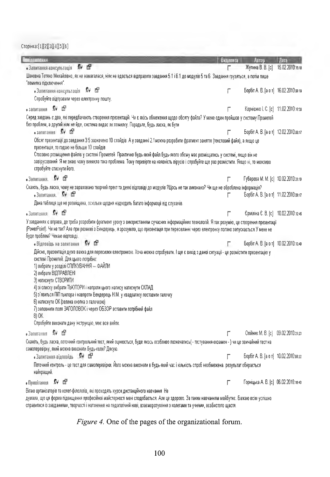**Сторінка:[1][2][3](4][5][б]**

| <b>Іовідомлення</b>                                                                                                                                                                                                                                                                                                                                                                                                                                                                                                                                                                                                                | <b>Виданита</b> | Autop                                 | Rara             |
|------------------------------------------------------------------------------------------------------------------------------------------------------------------------------------------------------------------------------------------------------------------------------------------------------------------------------------------------------------------------------------------------------------------------------------------------------------------------------------------------------------------------------------------------------------------------------------------------------------------------------------|-----------------|---------------------------------------|------------------|
| 观 图<br>• Запитання-консультація                                                                                                                                                                                                                                                                                                                                                                                                                                                                                                                                                                                                    | ٣               | Жупина В. В. (с)                      | 15.02.2010:15:10 |
| Шановна Тетяно Михайлівно, як не намагалася, ніяк не вдається відправити завдання 5.1 і 6.1 до модулів 5 та 6. Завдання грузяться, а потім пише<br>"помилка підключення".                                                                                                                                                                                                                                                                                                                                                                                                                                                          |                 |                                       |                  |
| ିନ ©<br>• Запитання консультація                                                                                                                                                                                                                                                                                                                                                                                                                                                                                                                                                                                                   | Г               | Борбіт А. В. [а о т] 16.02.2010 веля  |                  |
| Спробуйте відправити через електронну пошту.                                                                                                                                                                                                                                                                                                                                                                                                                                                                                                                                                                                       |                 |                                       |                  |
| 泉 囹<br>• запитання                                                                                                                                                                                                                                                                                                                                                                                                                                                                                                                                                                                                                 |                 | Корнієнко І. С. [с] 11.02.2010.17:0   |                  |
| Серед завдань є два, які передбачають створення презентацій. Чи є якісь обмеження щодо обсягу файла? У мене один пройшов у систему Прометей                                                                                                                                                                                                                                                                                                                                                                                                                                                                                        |                 |                                       |                  |
| без проблем, а другий ніяк не йде, система видає як помилку. Порадьте, будь ласка, як бути<br>•запитання Ям б                                                                                                                                                                                                                                                                                                                                                                                                                                                                                                                      |                 | Борбіт А. В. [а о т] 12.02.2010;оз:17 |                  |
| Обсяг презентації до завдання 3 5 зазначено 10 слайдів. А у завданні 2.1 можна розробити фрагмент заняття (текстовий файл), а якщо це<br>презентація, то гадаю не більше 10 слайдів.                                                                                                                                                                                                                                                                                                                                                                                                                                               |                 |                                       |                  |
| Стосовно розміщення файлів у системі Прометей Практично будь-який файл будь-якого обсму має розміщатись у системі, якщо він не<br>завірусовання Я не знаю чому виникла така проблема. Тому перевірте на наявність вірусів і спробуйте ще раз розмістити. Якщо ні, то можливо<br>спробуйте стиснути його.                                                                                                                                                                                                                                                                                                                           |                 |                                       |                  |
| • Запитання. № 19                                                                                                                                                                                                                                                                                                                                                                                                                                                                                                                                                                                                                  | Г               | Губарева М. М. (с) 10.02.2010;21:10   |                  |
| Скажіть, будь ласка, чому не зараховано творчий прект та деякі відповіді до модулів ?Щось не так виконано? Чи ще не оброблена інформація?                                                                                                                                                                                                                                                                                                                                                                                                                                                                                          |                 |                                       |                  |
| . Запитания. 17 см                                                                                                                                                                                                                                                                                                                                                                                                                                                                                                                                                                                                                 | г               | Борбіт А. В. [а о т] 11.02.2010:па:17 |                  |
| Дана таблиця ще не розміщена, оскільки щодня надходить багато інформації від слухачів.                                                                                                                                                                                                                                                                                                                                                                                                                                                                                                                                             |                 |                                       |                  |
| $\mathbb{R}$ is<br>$\bullet$ Запитания                                                                                                                                                                                                                                                                                                                                                                                                                                                                                                                                                                                             |                 | Єрміліна Є. В. [с] 10.02.2010:12:45   |                  |
| У завданнях є вправа, де треба розробити фрагмент уроку з використанням сучасних інформаційних технологій. Я так розумію, це створення презентації<br>(PowerPoint). Чи не так? Але при розмові з Бендерець, я зрозуміла, що презентація при переселанні через електронку погано запускається. У мене не<br>буде проблем? Чекаю відповіді.                                                                                                                                                                                                                                                                                          |                 |                                       |                  |
| 9 G<br>• Відповідь на запитання                                                                                                                                                                                                                                                                                                                                                                                                                                                                                                                                                                                                    | ٣               | Борбіт А. В. [а о т] 10.02.2010 13:40 |                  |
| Дійсно, презентація дуже важка для пересилки електронкою. Хоча можна спробувати. І ще є вихід з даної ситуації- це розмістити презентацію у<br>системі Прометей. Для цього потрібно:<br>1) вибрати у розділі СПІЛКУВАННЯ — ФАЙЛИ<br>2) вибрати ВІДПРАВЛЕНІ<br>3) натиснути СТВОРИТИ<br>4) зі списку вибрати ТЬЮТОРИ і напроти цього напису натиснути СКЛАД<br>5) з'явиться ПІП тьютора і навпроти Бендерець Н.М. у квадратику поставити галочку<br>6) натиснути ОК (зелена кнопка з галочкою)<br>7) заповнити поля ЗАГОЛОВОК і через ОБЗОР вставити потрібний файл<br>8) OK.<br>Спробуйте виконати дану інструкцію, має все вийти. |                 |                                       |                  |
| 取 图<br>• Запитання                                                                                                                                                                                                                                                                                                                                                                                                                                                                                                                                                                                                                 |                 | Олійник М. В. [с]                     | 09.02.2010.21:23 |
| Скажіть, будь ласка, поточний контрольний тест, який оциюється, буде якось особливо позначатись( - тестування екзамен - ) чи це звичайний тест на<br>самоперевірку, який можна виконати будь-коли? Дякую.                                                                                                                                                                                                                                                                                                                                                                                                                          |                 |                                       |                  |
| • Запитання відповідь $\blacksquare$                                                                                                                                                                                                                                                                                                                                                                                                                                                                                                                                                                                               |                 | Борбіт А. В. [а о т] 10.02.2010:08:22 |                  |
| Поточний контроль - це тест для самоперевірки. Його можна виконати в будь-який час і кількість спроб необмежена, результат оберається<br>найкращий.                                                                                                                                                                                                                                                                                                                                                                                                                                                                                |                 |                                       |                  |
| 心 卧<br>$\bullet$ Привітання                                                                                                                                                                                                                                                                                                                                                                                                                                                                                                                                                                                                        | Г               | Горніцька А. В. [с] 06.02.2010:16:43  |                  |
| Вітаю організаторів та колег-філологів, які проходять курси дистанційного навчання Не<br>думала, що ця форма підвищення професійної майстерності мені сподобається. Але це здорово. За таким навчанням майбутнє. Бажаю всім успішно                                                                                                                                                                                                                                                                                                                                                                                                |                 |                                       |                  |

*Figure 4.* One of the pages of the organizational forum.

справитися із завданнями, творчості і натхнення на педагогічній ниві, взаєморозуміння з колегами та учнями, особистого щастя.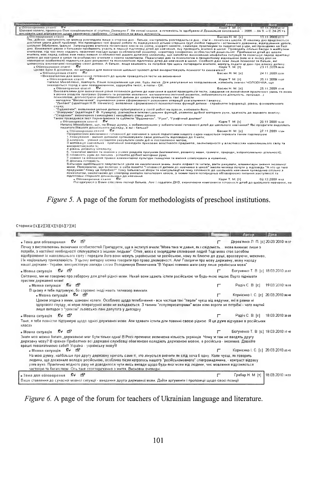

## *Figure 5.* A page of the forum for methodologists of preschool institutions.

#### Сторнка:[1][2][3][4][5][6][7][8]

|                                                                                                                                                                                                                                                                                                                                                                                                                                                                               | ABTBB                                 | <b>Have</b>      |
|-------------------------------------------------------------------------------------------------------------------------------------------------------------------------------------------------------------------------------------------------------------------------------------------------------------------------------------------------------------------------------------------------------------------------------------------------------------------------------|---------------------------------------|------------------|
| ГŦ<br>$\mathbf{S}$<br>• Тема для обговорония<br>Почну з висловлювань визначних особистостей Пригадуете, ще в інституті вчили:"Мова така ж давня, як і свідомість. . мова виникає лише з<br>потреби, з настиної необхідності спілкуватися з іншими людьми". Отже, мова є знаряддям спілквання людей Тоді мова стає засобом                                                                                                                                                     | Дерев'янко Л. П. (с) 20.03.2010.16:27 |                  |
| відображення їх навколишнього світу і передати його вони можуть українською чи російською, кому як ближче до душі, враховуючи, можливо,<br>і їх національну приналежність. У цьому випадку можна говорити про право двомовності. Але! Говорячи про мову державну, мову народу<br>нашої держави - України, використовую завжди слова Володимира Винниченка:"В Україні повинна мати силу лише українська мова"                                                                  |                                       |                  |
| • Мовна ситуація П- ЕТ                                                                                                                                                                                                                                                                                                                                                                                                                                                        | Богуненко Т. В. (с) 18.03.2010.20.67  |                  |
| Світланко, ми не говоримо про заборону для дітей рідної мови. Нехай вони здають іспити російською чи будь-якою іншою.Варто піднімати<br>престиж державної мови!                                                                                                                                                                                                                                                                                                               |                                       |                  |
| <b>DA 157</b><br>• Мовна ситуація                                                                                                                                                                                                                                                                                                                                                                                                                                             | Pagiy C B Icl                         | 19 03 2010:18:58 |
| В цьому я тебе підтримую, бо соромно іноді навіть телевкор вмикати.<br>• Мовна ситуація<br>.ଟ≁ <i>ଅ</i> ଟ                                                                                                                                                                                                                                                                                                                                                                     | Корнієнко І. С. (с. 20.03.2010.00:49  |                  |
| Циком эгодна з вами, шановні колеги. Особливо щодо телебачення - все частішв такі "перли" чуєш від вадучих, які в рамки ні<br>здорового глузду, ні норм літературної мови не вкладаються. З такими "полуляризаторами" мови ніяю вороги не потрібні - чого вартий<br>лише випадок з "уроком" львівської пані депутата у дитсадку                                                                                                                                               |                                       |                  |
| DA 197<br>• Мовна ситуація                                                                                                                                                                                                                                                                                                                                                                                                                                                    | Pagiu C. B. Jel                       | 18.03.2010:20:09 |
| Таня, я тебе повністю підтримую щодо однієї державної мови. Але здавати іспити діти повинні своєю рідною. Я це дуже відчуваю в російських<br>knacax                                                                                                                                                                                                                                                                                                                           |                                       |                  |
| .c⊌ e9<br>• Мовна ситуація                                                                                                                                                                                                                                                                                                                                                                                                                                                    | Богуненко Т. В. (с) 18.03.2010; и 48  |                  |
| Знати мов можна багато, державною має бути тільки одна! В Росії проживає величазна кількість українців. Чому ж там не вводять другу<br>державну мову? В країнах Прибалтики всі даржавні службовці обов'язково володіють державною мовою, а російська» іноземна. Давайте<br>врешті поважатимемо себе!!! Україна - українську мову!!!                                                                                                                                           |                                       |                  |
| • Мовна смтуація Де ЕЯ                                                                                                                                                                                                                                                                                                                                                                                                                                                        | Карнієнко І. С. (с) 20.03.2010.00.42  |                  |
| На мою дүмкү, найбільше про другу дөржавну кричать саме ті, хто лінується вивчити як слід хоча б одну. Коли чуєш, як говорить<br>людина, що досконало володіє російською, особливо після котрогось нашого "російськомовного" співгромадянина, - контраст відразу<br>ряке вуко. Практично жедного разу не доводилося чути якісь випади щодо будь-якої мови від людини, чиє мовлення відрізняється<br>чистогою та багатством. Ось таке спостереження з життя. Висковки очевидні |                                       |                  |
| ෙල<br>52€<br>• Тена для обтоворення                                                                                                                                                                                                                                                                                                                                                                                                                                           | Грабар Н. М. (т)                      | 18.03.2010.14:33 |
| Ваше ставления до сучасної мовної ситуації - введення другої державної мови. Дайте аргументи і пропозиції щодо своєї позиції                                                                                                                                                                                                                                                                                                                                                  |                                       |                  |

Figure 6. A page of the forum for teachers of Ukrainian language and literature.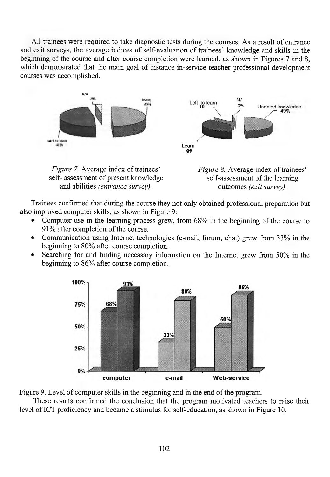All trainees were required to take diagnostic tests during the courses. As a result of entrance and exit surveys, the average indices of self-evaluation of trainees' knowledge and skills in the beginning of the course and after course completion were learned, as shown in Figures 7 and 8, which demonstrated that the main goal of distance in-service teacher professional development courses was accomplished.



self- assessment of present knowledge self-assessment of the learning and abilities *(entrance survey)*. outcomes *(exit survey)*.

Trainees confirmed that during the course they not only obtained professional preparation but also improved computer skills, as shown in Figure 9:

- Computer use in the learning process grew, from 68% in the beginning of the course to 91% after completion of the course.
- Communication using Internet technologies (e-mail, forum, chat) grew from 33% in the beginning to 80% after course completion.
- Searching for and finding necessary information on the Internet grew from 50% in the beginning to 86% after course completion.



Figure 9. Level of computer skills in the beginning and in the end of the program.

These results confirmed the conclusion that the program motivated teachers to raise their level of ICT proficiency and became a stimulus for self-education, as shown in Figure 10.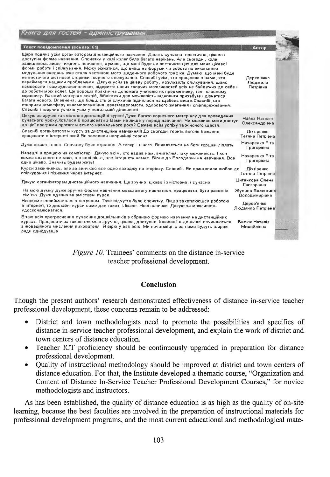| Книга для гостеи - адміністрування                                                                                                                                                                                                                                                                                                                                                                                                                                                                                                                                                                                                                                                                                                                                                                                                                                                                                                                                                                                                                                                                                                                                                                                   |                                             |  |
|----------------------------------------------------------------------------------------------------------------------------------------------------------------------------------------------------------------------------------------------------------------------------------------------------------------------------------------------------------------------------------------------------------------------------------------------------------------------------------------------------------------------------------------------------------------------------------------------------------------------------------------------------------------------------------------------------------------------------------------------------------------------------------------------------------------------------------------------------------------------------------------------------------------------------------------------------------------------------------------------------------------------------------------------------------------------------------------------------------------------------------------------------------------------------------------------------------------------|---------------------------------------------|--|
| Текст повідомлення (всього: 61)                                                                                                                                                                                                                                                                                                                                                                                                                                                                                                                                                                                                                                                                                                                                                                                                                                                                                                                                                                                                                                                                                                                                                                                      | Автор                                       |  |
| Щира подяка усім організаторам дистанційного навчання. Досить сучасна, практична, цікава і<br>доступна форма навчання. Спочатку у колі колег було багато нарікань. Але сьогодні, коли<br>залишилось лише тиждень навчання, думаю, що мені буде не вистачати цієї для мене цікавої<br>форми роботи і спілкування. Можу зізнатися, що вихід на форуми чи робота по виконанню<br>модульних завдань вже стала частиною мого щоденного робочого графіка. Думаю, що мені буде<br>не вистачати цієї нової сторінки творчого спілкування. Спасибі усім, хто працював з нами, хто<br>переймався нашими проблемами. Дякую усім за цікаву роботу, можливість спілкування, шанс<br>самоосвіти і самоудосконалення, відкриття нових творчих можливостей усіх не байдужих до себе і<br>до роботи моїх колег. Це хороша практична допомага учителю як предметнику, так і класному<br>керівнику. Багатий матеріал лекцій, бібліотеки дав можливість відновити призабуте і дізнатися<br>багато нового. Епевнена, що більшість зі слухачів піднялися на щабель вище.Спасибі, що<br>створили атмосферу взаєморозуміння, взаємедопомоги, здорового змагання і співпереживання.<br>Спасибі і творчих усліхів усім у подальшій діяльності. | Дерев'янко<br>Людмила<br>Петрівна           |  |
| Дякую за зручні та змістовні дистанційні курси! Дуже багато корисного матеріалу для проведення<br>сучасного уроку. Хотілося 6 працювати з Вами не лише у період навчання. Чи можливо мати доступ<br>до цієї програми протягом всього навчального року? Бажаю всім успіху та жіночого шастя.                                                                                                                                                                                                                                                                                                                                                                                                                                                                                                                                                                                                                                                                                                                                                                                                                                                                                                                          | Чайка Наталія<br>Олександрівна              |  |
| Спасибі організаторам курсу за дистанційне навчання!!! До сьогодні горить вогонь бажання;<br>працювати в інтернеті, який Ви запалили наприкінці серпня.                                                                                                                                                                                                                                                                                                                                                                                                                                                                                                                                                                                                                                                                                                                                                                                                                                                                                                                                                                                                                                                              | Діхтіренко<br>Тетяна Петрівна               |  |
| Дуже цікаво і ново. Спочатку було страшно. А тепер - нічого. Виявляється не боги горшки ліплять                                                                                                                                                                                                                                                                                                                                                                                                                                                                                                                                                                                                                                                                                                                                                                                                                                                                                                                                                                                                                                                                                                                      | Назаренко Ріта<br>Григорівна                |  |
| Нарешті я працюю на комп'ютері. Дякую всім, хто надав нам, вчителям, таку можливість. І хоч<br>компа власного не маю, в школі він є, але інтернету немає. Бігаю до Володарки на навчання. Все<br>одно цікаво. Значить будем жить!                                                                                                                                                                                                                                                                                                                                                                                                                                                                                                                                                                                                                                                                                                                                                                                                                                                                                                                                                                                    | Назаренко Ріта<br>Григорівна                |  |
| Курси закінчились, але за звичкою все одно заходжу на сторінку. Спасибі. Ви прищепили любов до<br>спілкування і пізнання через інтернет.                                                                                                                                                                                                                                                                                                                                                                                                                                                                                                                                                                                                                                                                                                                                                                                                                                                                                                                                                                                                                                                                             | Діхтіренко<br>Тетяна Петрівна               |  |
| Дякую організаторам дистанційного навчання. Це зручно, цікаво і эмістовно, і сучасно                                                                                                                                                                                                                                                                                                                                                                                                                                                                                                                                                                                                                                                                                                                                                                                                                                                                                                                                                                                                                                                                                                                                 | Циганкова Олена<br>Григорівна               |  |
| На мою думку дуже зручна форма навчання маєш змогу навчатися, працювати, бути разом із<br>сім'єю. Дуже вдячна за эмістовні курси.                                                                                                                                                                                                                                                                                                                                                                                                                                                                                                                                                                                                                                                                                                                                                                                                                                                                                                                                                                                                                                                                                    | Жупина Валентина<br><b>Володимирівна</b>    |  |
| Невідоме сприймається з острахом. Таке відчуття було спочатку. Якщо захоплюєшся роботою<br>в інтернеті, то дистайні курси саме для таких. Цікаво. Нові навички, Дякую за можливість<br>удосконалюватися.                                                                                                                                                                                                                                                                                                                                                                                                                                                                                                                                                                                                                                                                                                                                                                                                                                                                                                                                                                                                             | Дерев'янко<br>Людмила Петрівна <sup>і</sup> |  |
| Вітаю всіх прогресивних сучасних дошкільників з обраною формою навчання на дистанційних<br>курсах. Працювати за такою схемою зручно, цікаво, доступно, інновації в дошкіллі починаються<br>з іноваційного мислення вихователя. Я вірю у вас всіх. Ми початківці, а за нами будуть широкі<br>вяди однодумців                                                                                                                                                                                                                                                                                                                                                                                                                                                                                                                                                                                                                                                                                                                                                                                                                                                                                                          | Басюк Наталія<br>Михайлівна                 |  |

*Figure 10.* Trainees' comments on the distance in-service teacher professional development.

## **Conclusion**

Though the present authors' research demonstrated effectiveness of distance in-service teacher professional development, these concerns remain to be addressed:

- District and town methodologists need to promote the possibilities and specifics of distance in-service teacher professional development, and explain the work of district and town centers of distance education.
- Teacher ICT proficiency should be continuously upgraded in preparation for distance professional development.
- Quality of instructional methodology should be improved at district and town centers of distance education. For that, the Institute developed a thematic course, "Organization and Content of Distance In-Service Teacher Professional Development Courses," for novice methodologists and instructors.

As has been established, the quality of distance education is as high as the quality of on-site learning, because the best faculties are involved in the preparation of instructional materials for professional development programs, and the most current educational and methodological mate